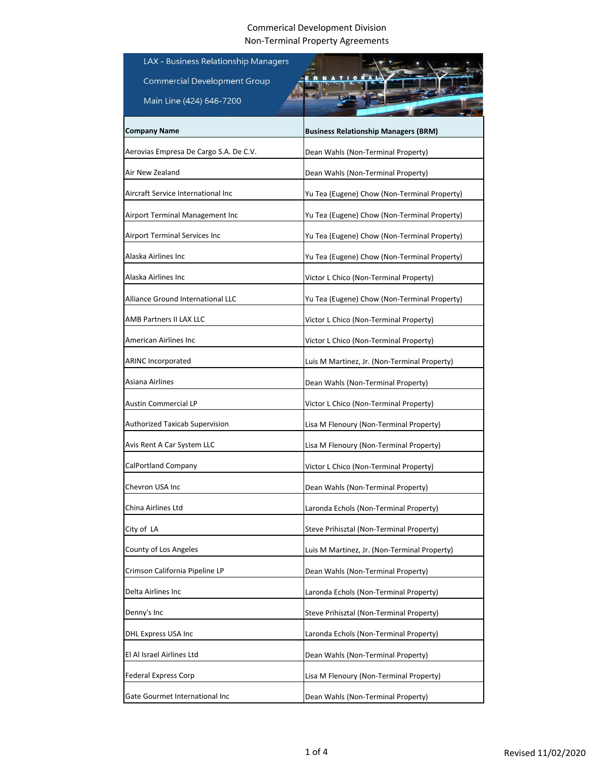| LAX - Business Relationship Managers     |                                              |
|------------------------------------------|----------------------------------------------|
| <b>Commercial Development Group</b>      |                                              |
| Main Line (424) 646-7200                 |                                              |
| <b>Company Name</b>                      | <b>Business Relationship Managers (BRM)</b>  |
| Aerovias Empresa De Cargo S.A. De C.V.   |                                              |
| Air New Zealand                          | Dean Wahls (Non-Terminal Property)           |
|                                          | Dean Wahls (Non-Terminal Property)           |
| Aircraft Service International Inc       | Yu Tea (Eugene) Chow (Non-Terminal Property) |
| Airport Terminal Management Inc          | Yu Tea (Eugene) Chow (Non-Terminal Property) |
| Airport Terminal Services Inc            | Yu Tea (Eugene) Chow (Non-Terminal Property) |
| Alaska Airlines Inc                      | Yu Tea (Eugene) Chow (Non-Terminal Property) |
| Alaska Airlines Inc                      | Victor L Chico (Non-Terminal Property)       |
| <b>Alliance Ground International LLC</b> | Yu Tea (Eugene) Chow (Non-Terminal Property) |
| AMB Partners II LAX LLC                  | Victor L Chico (Non-Terminal Property)       |
| American Airlines Inc                    | Victor L Chico (Non-Terminal Property)       |
| <b>ARINC Incorporated</b>                | Luis M Martinez, Jr. (Non-Terminal Property) |
| Asiana Airlines                          | Dean Wahls (Non-Terminal Property)           |
| Austin Commercial LP                     | Victor L Chico (Non-Terminal Property)       |
| Authorized Taxicab Supervision           | Lisa M Flenoury (Non-Terminal Property)      |
| Avis Rent A Car System LLC               | Lisa M Flenoury (Non-Terminal Property)      |
| CalPortland Company                      | Victor L Chico (Non-Terminal Property)       |
| Chevron USA Inc                          | Dean Wahls (Non-Terminal Property)           |
| China Airlines Ltd                       | Laronda Echols (Non-Terminal Property)       |
| City of LA                               | Steve Prihisztal (Non-Terminal Property)     |
| County of Los Angeles                    | Luis M Martinez, Jr. (Non-Terminal Property) |
| Crimson California Pipeline LP           | Dean Wahls (Non-Terminal Property)           |
| Delta Airlines Inc                       | Laronda Echols (Non-Terminal Property)       |
| Denny's Inc                              | Steve Prihisztal (Non-Terminal Property)     |
| DHL Express USA Inc                      | Laronda Echols (Non-Terminal Property)       |
| El Al Israel Airlines Ltd                | Dean Wahls (Non-Terminal Property)           |
| <b>Federal Express Corp</b>              | Lisa M Flenoury (Non-Terminal Property)      |
| Gate Gourmet International Inc           | Dean Wahls (Non-Terminal Property)           |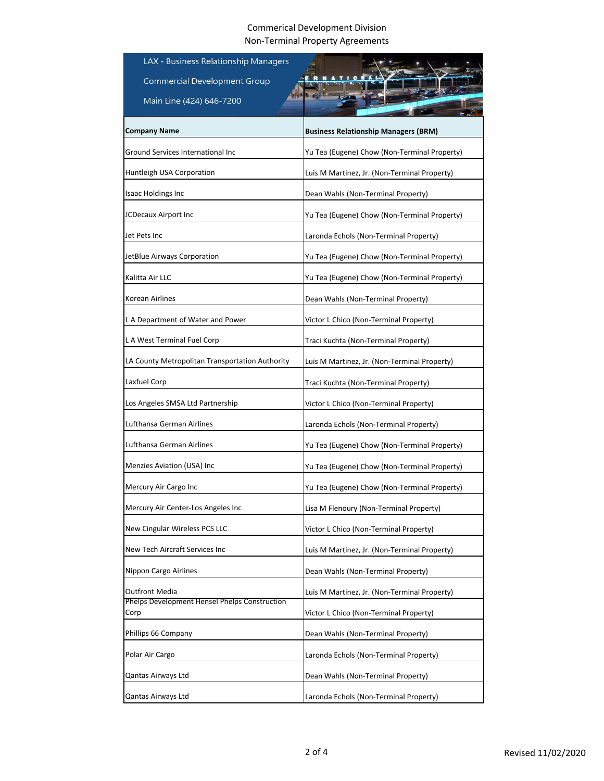| LAX - Business Relationship Managers                  |                                              |
|-------------------------------------------------------|----------------------------------------------|
| <b>Commercial Development Group</b>                   |                                              |
| Main Line (424) 646-7200                              |                                              |
|                                                       |                                              |
| <b>Company Name</b>                                   | <b>Business Relationship Managers (BRM)</b>  |
| Ground Services International Inc                     | Yu Tea (Eugene) Chow (Non-Terminal Property) |
| Huntleigh USA Corporation                             | Luis M Martinez, Jr. (Non-Terminal Property) |
| <b>Isaac Holdings Inc</b>                             | Dean Wahls (Non-Terminal Property)           |
| JCDecaux Airport Inc                                  | Yu Tea (Eugene) Chow (Non-Terminal Property) |
| Jet Pets Inc                                          | Laronda Echols (Non-Terminal Property)       |
| JetBlue Airways Corporation                           | Yu Tea (Eugene) Chow (Non-Terminal Property) |
| Kalitta Air LLC                                       | Yu Tea (Eugene) Chow (Non-Terminal Property) |
| Korean Airlines                                       | Dean Wahls (Non-Terminal Property)           |
| L A Department of Water and Power                     | Victor L Chico (Non-Terminal Property)       |
| L A West Terminal Fuel Corp                           | Traci Kuchta (Non-Terminal Property)         |
| LA County Metropolitan Transportation Authority       | Luis M Martinez, Jr. (Non-Terminal Property) |
| Laxfuel Corp                                          | Traci Kuchta (Non-Terminal Property)         |
| Los Angeles SMSA Ltd Partnership                      | Victor L Chico (Non-Terminal Property)       |
| Lufthansa German Airlines                             | Laronda Echols (Non-Terminal Property)       |
| Lufthansa German Airlines                             | Yu Tea (Eugene) Chow (Non-Terminal Property) |
| Menzies Aviation (USA) Inc.                           | Yu Tea (Eugene) Chow (Non-Terminal Property) |
| Mercury Air Cargo Inc                                 | Yu Tea (Eugene) Chow (Non-Terminal Property) |
| Mercury Air Center-Los Angeles Inc                    | Lisa M Flenoury (Non-Terminal Property)      |
| New Cingular Wireless PCS LLC                         | Victor L Chico (Non-Terminal Property)       |
| New Tech Aircraft Services Inc                        | Luis M Martinez, Jr. (Non-Terminal Property) |
| Nippon Cargo Airlines                                 | Dean Wahls (Non-Terminal Property)           |
| <b>Outfront Media</b>                                 | Luis M Martinez, Jr. (Non-Terminal Property) |
| Phelps Development Hensel Phelps Construction<br>Corp | Victor L Chico (Non-Terminal Property)       |
| Phillips 66 Company                                   | Dean Wahls (Non-Terminal Property)           |
| Polar Air Cargo                                       | Laronda Echols (Non-Terminal Property)       |
| Qantas Airways Ltd                                    | Dean Wahls (Non-Terminal Property)           |
| Qantas Airways Ltd                                    | Laronda Echols (Non-Terminal Property)       |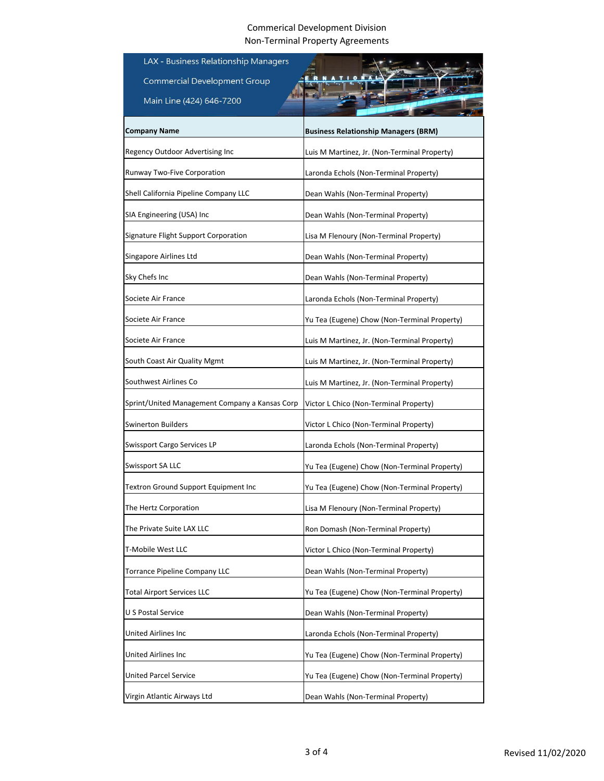| LAX - Business Relationship Managers           |                                              |
|------------------------------------------------|----------------------------------------------|
| <b>Commercial Development Group</b>            |                                              |
| Main Line (424) 646-7200                       |                                              |
|                                                |                                              |
| Company Name                                   | <b>Business Relationship Managers (BRM)</b>  |
| Regency Outdoor Advertising Inc                | Luis M Martinez, Jr. (Non-Terminal Property) |
| Runway Two-Five Corporation                    | Laronda Echols (Non-Terminal Property)       |
| Shell California Pipeline Company LLC          | Dean Wahls (Non-Terminal Property)           |
| SIA Engineering (USA) Inc                      | Dean Wahls (Non-Terminal Property)           |
| Signature Flight Support Corporation           | Lisa M Flenoury (Non-Terminal Property)      |
| Singapore Airlines Ltd                         | Dean Wahls (Non-Terminal Property)           |
| Sky Chefs Inc                                  | Dean Wahls (Non-Terminal Property)           |
| Societe Air France                             | Laronda Echols (Non-Terminal Property)       |
| Societe Air France                             | Yu Tea (Eugene) Chow (Non-Terminal Property) |
| Societe Air France                             | Luis M Martinez, Jr. (Non-Terminal Property) |
| South Coast Air Quality Mgmt                   | Luis M Martinez, Jr. (Non-Terminal Property) |
| Southwest Airlines Co                          | Luis M Martinez, Jr. (Non-Terminal Property) |
| Sprint/United Management Company a Kansas Corp | Victor L Chico (Non-Terminal Property)       |
| Swinerton Builders                             | Victor L Chico (Non-Terminal Property)       |
| Swissport Cargo Services LP                    | Laronda Echols (Non-Terminal Property)       |
| Swissport SA LLC                               | Yu Tea (Eugene) Chow (Non-Terminal Property) |
| Textron Ground Support Equipment Inc           | Yu Tea (Eugene) Chow (Non-Terminal Property) |
| The Hertz Corporation                          | Lisa M Flenoury (Non-Terminal Property)      |
| The Private Suite LAX LLC                      | Ron Domash (Non-Terminal Property)           |
| T-Mobile West LLC                              | Victor L Chico (Non-Terminal Property)       |
| Torrance Pipeline Company LLC                  | Dean Wahls (Non-Terminal Property)           |
| <b>Total Airport Services LLC</b>              | Yu Tea (Eugene) Chow (Non-Terminal Property) |
| U S Postal Service                             | Dean Wahls (Non-Terminal Property)           |
| United Airlines Inc                            | Laronda Echols (Non-Terminal Property)       |
| United Airlines Inc                            | Yu Tea (Eugene) Chow (Non-Terminal Property) |
| <b>United Parcel Service</b>                   | Yu Tea (Eugene) Chow (Non-Terminal Property) |
| Virgin Atlantic Airways Ltd                    | Dean Wahls (Non-Terminal Property)           |